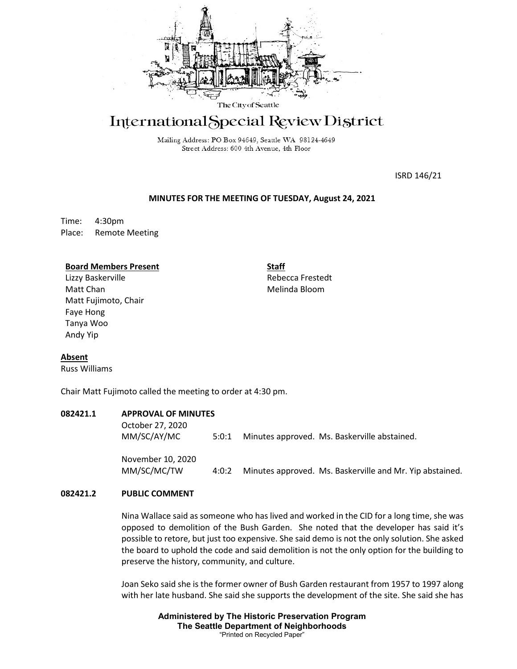

# International Special Review District

Mailing Address: PO Box 94649, Seattle WA 98124-4649 Street Address: 600 4th Avenue, 4th Floor

ISRD 146/21

#### **MINUTES FOR THE MEETING OF TUESDAY, August 24, 2021**

Time: 4:30pm Place: Remote Meeting

#### **Board Members Present**

Lizzy Baskerville Matt Chan Matt Fujimoto, Chair Faye Hong Tanya Woo Andy Yip

**Staff** Rebecca Frestedt Melinda Bloom

# **Absent**

Russ Williams

Chair Matt Fujimoto called the meeting to order at 4:30 pm.

### **082421.1 APPROVAL OF MINUTES**

| October 27, 2020<br>MM/SC/AY/MC | 5:0:1 | Minutes approved. Ms. Baskerville abstained. |
|---------------------------------|-------|----------------------------------------------|
| November 10, 2020               |       |                                              |

MM/SC/MC/TW 4:0:2 Minutes approved. Ms. Baskerville and Mr. Yip abstained.

# **082421.2 PUBLIC COMMENT**

Nina Wallace said as someone who has lived and worked in the CID for a long time, she was opposed to demolition of the Bush Garden. She noted that the developer has said it's possible to retore, but just too expensive. She said demo is not the only solution. She asked the board to uphold the code and said demolition is not the only option for the building to preserve the history, community, and culture.

Joan Seko said she is the former owner of Bush Garden restaurant from 1957 to 1997 along with her late husband. She said she supports the development of the site. She said she has

> **Administered by The Historic Preservation Program The Seattle Department of Neighborhoods** "Printed on Recycled Paper"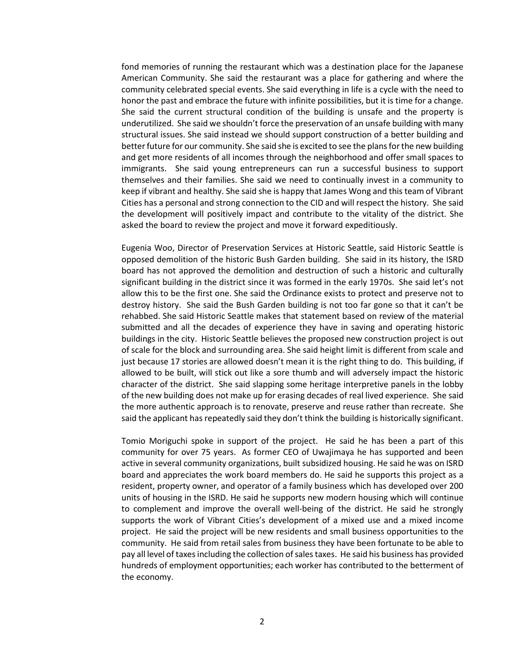fond memories of running the restaurant which was a destination place for the Japanese American Community. She said the restaurant was a place for gathering and where the community celebrated special events. She said everything in life is a cycle with the need to honor the past and embrace the future with infinite possibilities, but it is time for a change. She said the current structural condition of the building is unsafe and the property is underutilized. She said we shouldn't force the preservation of an unsafe building with many structural issues. She said instead we should support construction of a better building and better future for our community. She said she is excited to see the plans for the new building and get more residents of all incomes through the neighborhood and offer small spaces to immigrants. She said young entrepreneurs can run a successful business to support themselves and their families. She said we need to continually invest in a community to keep if vibrant and healthy. She said she is happy that James Wong and this team of Vibrant Cities has a personal and strong connection to the CID and will respect the history. She said the development will positively impact and contribute to the vitality of the district. She asked the board to review the project and move it forward expeditiously.

Eugenia Woo, Director of Preservation Services at Historic Seattle, said Historic Seattle is opposed demolition of the historic Bush Garden building. She said in its history, the ISRD board has not approved the demolition and destruction of such a historic and culturally significant building in the district since it was formed in the early 1970s. She said let's not allow this to be the first one. She said the Ordinance exists to protect and preserve not to destroy history. She said the Bush Garden building is not too far gone so that it can't be rehabbed. She said Historic Seattle makes that statement based on review of the material submitted and all the decades of experience they have in saving and operating historic buildings in the city. Historic Seattle believes the proposed new construction project is out of scale for the block and surrounding area. She said height limit is different from scale and just because 17 stories are allowed doesn't mean it is the right thing to do. This building, if allowed to be built, will stick out like a sore thumb and will adversely impact the historic character of the district. She said slapping some heritage interpretive panels in the lobby of the new building does not make up for erasing decades of real lived experience. She said the more authentic approach is to renovate, preserve and reuse rather than recreate. She said the applicant has repeatedly said they don't think the building is historically significant.

Tomio Moriguchi spoke in support of the project. He said he has been a part of this community for over 75 years. As former CEO of Uwajimaya he has supported and been active in several community organizations, built subsidized housing. He said he was on ISRD board and appreciates the work board members do. He said he supports this project as a resident, property owner, and operator of a family business which has developed over 200 units of housing in the ISRD. He said he supports new modern housing which will continue to complement and improve the overall well-being of the district. He said he strongly supports the work of Vibrant Cities's development of a mixed use and a mixed income project. He said the project will be new residents and small business opportunities to the community. He said from retail sales from business they have been fortunate to be able to pay all level of taxes including the collection of sales taxes. He said his business has provided hundreds of employment opportunities; each worker has contributed to the betterment of the economy.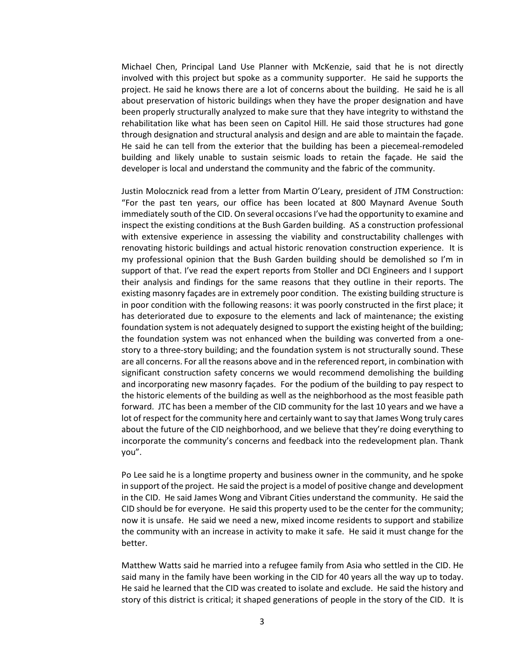Michael Chen, Principal Land Use Planner with McKenzie, said that he is not directly involved with this project but spoke as a community supporter. He said he supports the project. He said he knows there are a lot of concerns about the building. He said he is all about preservation of historic buildings when they have the proper designation and have been properly structurally analyzed to make sure that they have integrity to withstand the rehabilitation like what has been seen on Capitol Hill. He said those structures had gone through designation and structural analysis and design and are able to maintain the façade. He said he can tell from the exterior that the building has been a piecemeal-remodeled building and likely unable to sustain seismic loads to retain the façade. He said the developer is local and understand the community and the fabric of the community.

Justin Molocznick read from a letter from Martin O'Leary, president of JTM Construction: "For the past ten years, our office has been located at 800 Maynard Avenue South immediately south of the CID. On several occasions I've had the opportunity to examine and inspect the existing conditions at the Bush Garden building. AS a construction professional with extensive experience in assessing the viability and constructability challenges with renovating historic buildings and actual historic renovation construction experience. It is my professional opinion that the Bush Garden building should be demolished so I'm in support of that. I've read the expert reports from Stoller and DCI Engineers and I support their analysis and findings for the same reasons that they outline in their reports. The existing masonry façades are in extremely poor condition. The existing building structure is in poor condition with the following reasons: it was poorly constructed in the first place; it has deteriorated due to exposure to the elements and lack of maintenance; the existing foundation system is not adequately designed to support the existing height of the building; the foundation system was not enhanced when the building was converted from a onestory to a three-story building; and the foundation system is not structurally sound. These are all concerns. For all the reasons above and in the referenced report, in combination with significant construction safety concerns we would recommend demolishing the building and incorporating new masonry façades. For the podium of the building to pay respect to the historic elements of the building as well as the neighborhood as the most feasible path forward. JTC has been a member of the CID community for the last 10 years and we have a lot of respect for the community here and certainly want to say that James Wong truly cares about the future of the CID neighborhood, and we believe that they're doing everything to incorporate the community's concerns and feedback into the redevelopment plan. Thank you".

Po Lee said he is a longtime property and business owner in the community, and he spoke in support of the project. He said the project is a model of positive change and development in the CID. He said James Wong and Vibrant Cities understand the community. He said the CID should be for everyone. He said this property used to be the center for the community; now it is unsafe. He said we need a new, mixed income residents to support and stabilize the community with an increase in activity to make it safe. He said it must change for the better.

Matthew Watts said he married into a refugee family from Asia who settled in the CID. He said many in the family have been working in the CID for 40 years all the way up to today. He said he learned that the CID was created to isolate and exclude. He said the history and story of this district is critical; it shaped generations of people in the story of the CID. It is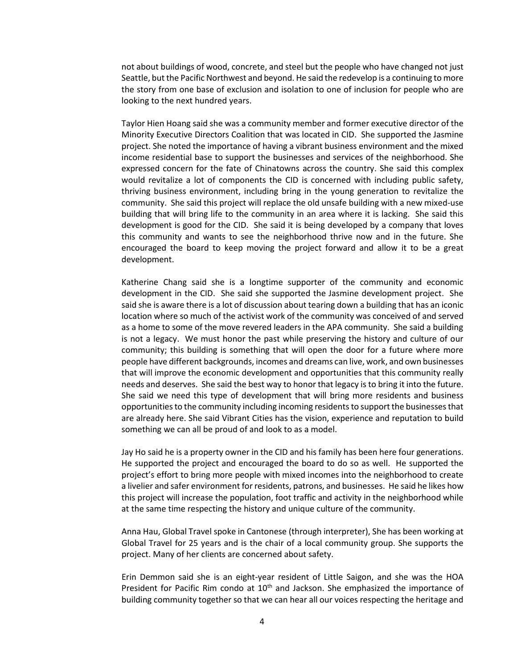not about buildings of wood, concrete, and steel but the people who have changed not just Seattle, but the Pacific Northwest and beyond. He said the redevelop is a continuing to more the story from one base of exclusion and isolation to one of inclusion for people who are looking to the next hundred years.

Taylor Hien Hoang said she was a community member and former executive director of the Minority Executive Directors Coalition that was located in CID. She supported the Jasmine project. She noted the importance of having a vibrant business environment and the mixed income residential base to support the businesses and services of the neighborhood. She expressed concern for the fate of Chinatowns across the country. She said this complex would revitalize a lot of components the CID is concerned with including public safety, thriving business environment, including bring in the young generation to revitalize the community. She said this project will replace the old unsafe building with a new mixed-use building that will bring life to the community in an area where it is lacking. She said this development is good for the CID. She said it is being developed by a company that loves this community and wants to see the neighborhood thrive now and in the future. She encouraged the board to keep moving the project forward and allow it to be a great development.

Katherine Chang said she is a longtime supporter of the community and economic development in the CID. She said she supported the Jasmine development project. She said she is aware there is a lot of discussion about tearing down a building that has an iconic location where so much of the activist work of the community was conceived of and served as a home to some of the move revered leaders in the APA community. She said a building is not a legacy. We must honor the past while preserving the history and culture of our community; this building is something that will open the door for a future where more people have different backgrounds, incomes and dreams can live, work, and own businesses that will improve the economic development and opportunities that this community really needs and deserves. She said the best way to honor that legacy is to bring it into the future. She said we need this type of development that will bring more residents and business opportunities to the community including incoming residents to support the businesses that are already here. She said Vibrant Cities has the vision, experience and reputation to build something we can all be proud of and look to as a model.

Jay Ho said he is a property owner in the CID and his family has been here four generations. He supported the project and encouraged the board to do so as well. He supported the project's effort to bring more people with mixed incomes into the neighborhood to create a livelier and safer environment for residents, patrons, and businesses. He said he likes how this project will increase the population, foot traffic and activity in the neighborhood while at the same time respecting the history and unique culture of the community.

Anna Hau, Global Travel spoke in Cantonese (through interpreter), She has been working at Global Travel for 25 years and is the chair of a local community group. She supports the project. Many of her clients are concerned about safety.

Erin Demmon said she is an eight-year resident of Little Saigon, and she was the HOA President for Pacific Rim condo at  $10<sup>th</sup>$  and Jackson. She emphasized the importance of building community together so that we can hear all our voices respecting the heritage and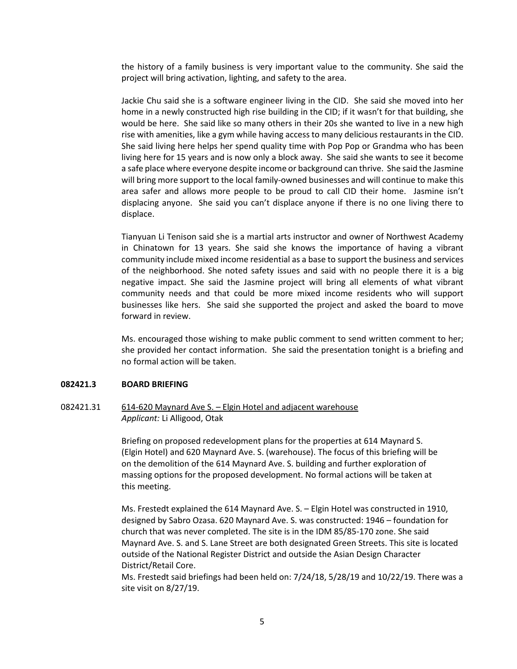the history of a family business is very important value to the community. She said the project will bring activation, lighting, and safety to the area.

Jackie Chu said she is a software engineer living in the CID. She said she moved into her home in a newly constructed high rise building in the CID; if it wasn't for that building, she would be here. She said like so many others in their 20s she wanted to live in a new high rise with amenities, like a gym while having access to many delicious restaurants in the CID. She said living here helps her spend quality time with Pop Pop or Grandma who has been living here for 15 years and is now only a block away. She said she wants to see it become a safe place where everyone despite income or background can thrive. She said the Jasmine will bring more support to the local family-owned businesses and will continue to make this area safer and allows more people to be proud to call CID their home. Jasmine isn't displacing anyone. She said you can't displace anyone if there is no one living there to displace.

Tianyuan Li Tenison said she is a martial arts instructor and owner of Northwest Academy in Chinatown for 13 years. She said she knows the importance of having a vibrant community include mixed income residential as a base to support the business and services of the neighborhood. She noted safety issues and said with no people there it is a big negative impact. She said the Jasmine project will bring all elements of what vibrant community needs and that could be more mixed income residents who will support businesses like hers. She said she supported the project and asked the board to move forward in review.

Ms. encouraged those wishing to make public comment to send written comment to her; she provided her contact information. She said the presentation tonight is a briefing and no formal action will be taken.

#### **082421.3 BOARD BRIEFING**

## 082421.31 614-620 Maynard Ave S. - Elgin Hotel and adjacent warehouse *Applicant:* Li Alligood, Otak

Briefing on proposed redevelopment plans for the properties at 614 Maynard S. (Elgin Hotel) and 620 Maynard Ave. S. (warehouse). The focus of this briefing will be on the demolition of the 614 Maynard Ave. S. building and further exploration of massing options for the proposed development. No formal actions will be taken at this meeting.

Ms. Frestedt explained the 614 Maynard Ave. S. – Elgin Hotel was constructed in 1910, designed by Sabro Ozasa. 620 Maynard Ave. S. was constructed: 1946 – foundation for church that was never completed. The site is in the IDM 85/85-170 zone. She said Maynard Ave. S. and S. Lane Street are both designated Green Streets. This site is located outside of the National Register District and outside the Asian Design Character District/Retail Core.

Ms. Frestedt said briefings had been held on: 7/24/18, 5/28/19 and 10/22/19. There was a site visit on 8/27/19.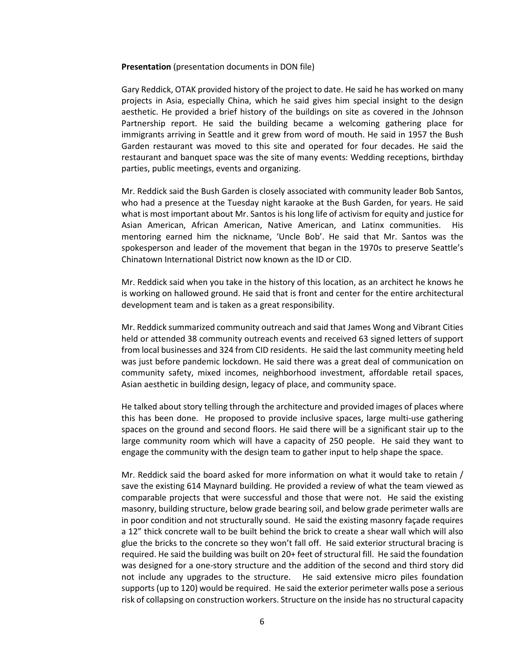#### **Presentation** (presentation documents in DON file)

Gary Reddick, OTAK provided history of the project to date. He said he has worked on many projects in Asia, especially China, which he said gives him special insight to the design aesthetic. He provided a brief history of the buildings on site as covered in the Johnson Partnership report. He said the building became a welcoming gathering place for immigrants arriving in Seattle and it grew from word of mouth. He said in 1957 the Bush Garden restaurant was moved to this site and operated for four decades. He said the restaurant and banquet space was the site of many events: Wedding receptions, birthday parties, public meetings, events and organizing.

Mr. Reddick said the Bush Garden is closely associated with community leader Bob Santos, who had a presence at the Tuesday night karaoke at the Bush Garden, for years. He said what is most important about Mr. Santos is his long life of activism for equity and justice for Asian American, African American, Native American, and Latinx communities. His mentoring earned him the nickname, 'Uncle Bob'. He said that Mr. Santos was the spokesperson and leader of the movement that began in the 1970s to preserve Seattle's Chinatown International District now known as the ID or CID.

Mr. Reddick said when you take in the history of this location, as an architect he knows he is working on hallowed ground. He said that is front and center for the entire architectural development team and is taken as a great responsibility.

Mr. Reddick summarized community outreach and said that James Wong and Vibrant Cities held or attended 38 community outreach events and received 63 signed letters of support from local businesses and 324 from CID residents. He said the last community meeting held was just before pandemic lockdown. He said there was a great deal of communication on community safety, mixed incomes, neighborhood investment, affordable retail spaces, Asian aesthetic in building design, legacy of place, and community space.

He talked about story telling through the architecture and provided images of places where this has been done. He proposed to provide inclusive spaces, large multi-use gathering spaces on the ground and second floors. He said there will be a significant stair up to the large community room which will have a capacity of 250 people. He said they want to engage the community with the design team to gather input to help shape the space.

Mr. Reddick said the board asked for more information on what it would take to retain / save the existing 614 Maynard building. He provided a review of what the team viewed as comparable projects that were successful and those that were not. He said the existing masonry, building structure, below grade bearing soil, and below grade perimeter walls are in poor condition and not structurally sound. He said the existing masonry façade requires a 12" thick concrete wall to be built behind the brick to create a shear wall which will also glue the bricks to the concrete so they won't fall off. He said exterior structural bracing is required. He said the building was built on 20+ feet of structural fill. He said the foundation was designed for a one-story structure and the addition of the second and third story did not include any upgrades to the structure. He said extensive micro piles foundation supports (up to 120) would be required. He said the exterior perimeter walls pose a serious risk of collapsing on construction workers. Structure on the inside has no structural capacity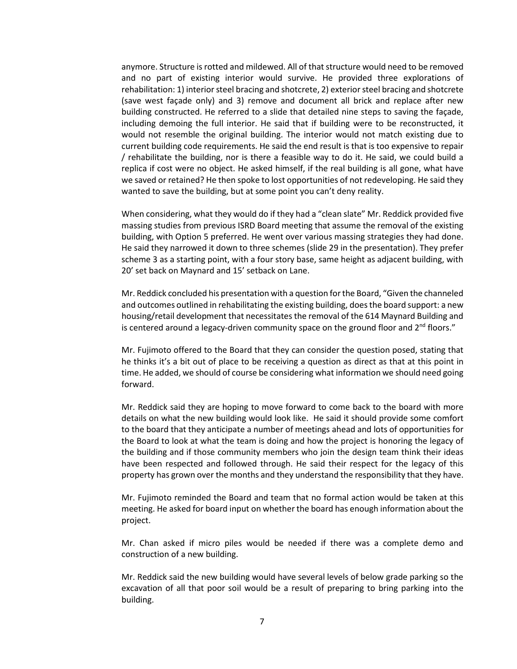anymore. Structure is rotted and mildewed. All of that structure would need to be removed and no part of existing interior would survive. He provided three explorations of rehabilitation: 1) interior steel bracing and shotcrete, 2) exterior steel bracing and shotcrete (save west façade only) and 3) remove and document all brick and replace after new building constructed. He referred to a slide that detailed nine steps to saving the façade, including demoing the full interior. He said that if building were to be reconstructed, it would not resemble the original building. The interior would not match existing due to current building code requirements. He said the end result is that is too expensive to repair / rehabilitate the building, nor is there a feasible way to do it. He said, we could build a replica if cost were no object. He asked himself, if the real building is all gone, what have we saved or retained? He then spoke to lost opportunities of not redeveloping. He said they wanted to save the building, but at some point you can't deny reality.

When considering, what they would do if they had a "clean slate" Mr. Reddick provided five massing studies from previous ISRD Board meeting that assume the removal of the existing building, with Option 5 preferred. He went over various massing strategies they had done. He said they narrowed it down to three schemes (slide 29 in the presentation). They prefer scheme 3 as a starting point, with a four story base, same height as adjacent building, with 20' set back on Maynard and 15' setback on Lane.

Mr. Reddick concluded his presentation with a question for the Board, "Given the channeled and outcomes outlined in rehabilitating the existing building, does the board support: a new housing/retail development that necessitates the removal of the 614 Maynard Building and is centered around a legacy-driven community space on the ground floor and  $2<sup>nd</sup>$  floors."

Mr. Fujimoto offered to the Board that they can consider the question posed, stating that he thinks it's a bit out of place to be receiving a question as direct as that at this point in time. He added, we should of course be considering what information we should need going forward.

Mr. Reddick said they are hoping to move forward to come back to the board with more details on what the new building would look like. He said it should provide some comfort to the board that they anticipate a number of meetings ahead and lots of opportunities for the Board to look at what the team is doing and how the project is honoring the legacy of the building and if those community members who join the design team think their ideas have been respected and followed through. He said their respect for the legacy of this property has grown over the months and they understand the responsibility that they have.

Mr. Fujimoto reminded the Board and team that no formal action would be taken at this meeting. He asked for board input on whether the board has enough information about the project.

Mr. Chan asked if micro piles would be needed if there was a complete demo and construction of a new building.

Mr. Reddick said the new building would have several levels of below grade parking so the excavation of all that poor soil would be a result of preparing to bring parking into the building.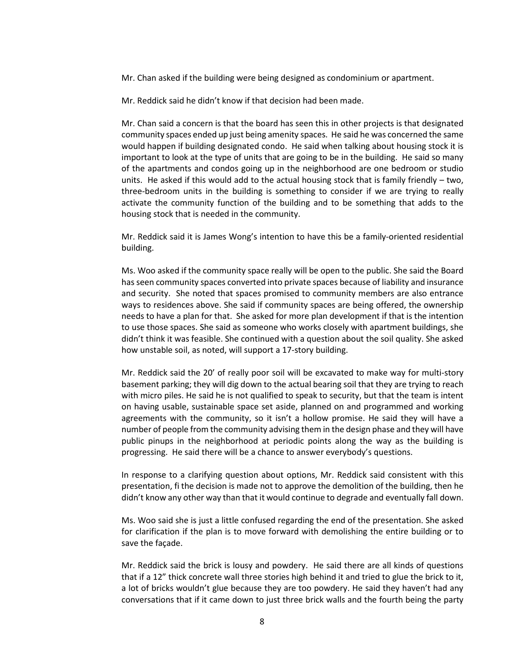Mr. Chan asked if the building were being designed as condominium or apartment.

Mr. Reddick said he didn't know if that decision had been made.

Mr. Chan said a concern is that the board has seen this in other projects is that designated community spaces ended up just being amenity spaces. He said he was concerned the same would happen if building designated condo. He said when talking about housing stock it is important to look at the type of units that are going to be in the building. He said so many of the apartments and condos going up in the neighborhood are one bedroom or studio units. He asked if this would add to the actual housing stock that is family friendly – two, three-bedroom units in the building is something to consider if we are trying to really activate the community function of the building and to be something that adds to the housing stock that is needed in the community.

Mr. Reddick said it is James Wong's intention to have this be a family-oriented residential building.

Ms. Woo asked if the community space really will be open to the public. She said the Board has seen community spaces converted into private spaces because of liability and insurance and security. She noted that spaces promised to community members are also entrance ways to residences above. She said if community spaces are being offered, the ownership needs to have a plan for that. She asked for more plan development if that is the intention to use those spaces. She said as someone who works closely with apartment buildings, she didn't think it was feasible. She continued with a question about the soil quality. She asked how unstable soil, as noted, will support a 17-story building.

Mr. Reddick said the 20' of really poor soil will be excavated to make way for multi-story basement parking; they will dig down to the actual bearing soil that they are trying to reach with micro piles. He said he is not qualified to speak to security, but that the team is intent on having usable, sustainable space set aside, planned on and programmed and working agreements with the community, so it isn't a hollow promise. He said they will have a number of people from the community advising them in the design phase and they will have public pinups in the neighborhood at periodic points along the way as the building is progressing. He said there will be a chance to answer everybody's questions.

In response to a clarifying question about options, Mr. Reddick said consistent with this presentation, fi the decision is made not to approve the demolition of the building, then he didn't know any other way than that it would continue to degrade and eventually fall down.

Ms. Woo said she is just a little confused regarding the end of the presentation. She asked for clarification if the plan is to move forward with demolishing the entire building or to save the façade.

Mr. Reddick said the brick is lousy and powdery. He said there are all kinds of questions that if a 12" thick concrete wall three stories high behind it and tried to glue the brick to it, a lot of bricks wouldn't glue because they are too powdery. He said they haven't had any conversations that if it came down to just three brick walls and the fourth being the party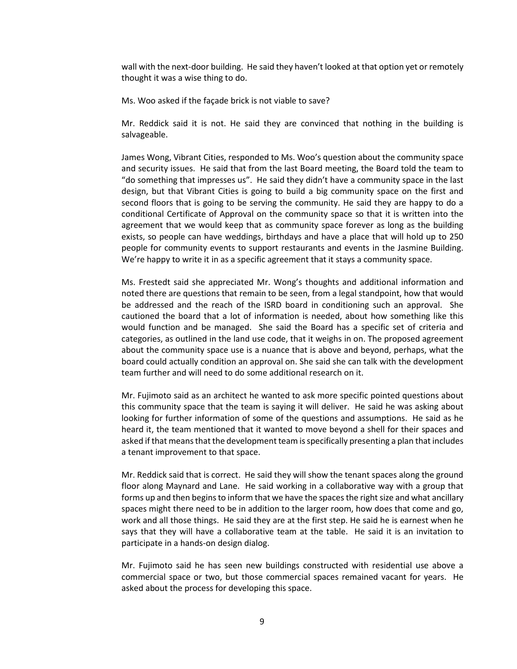wall with the next-door building. He said they haven't looked at that option yet or remotely thought it was a wise thing to do.

Ms. Woo asked if the façade brick is not viable to save?

Mr. Reddick said it is not. He said they are convinced that nothing in the building is salvageable.

James Wong, Vibrant Cities, responded to Ms. Woo's question about the community space and security issues. He said that from the last Board meeting, the Board told the team to "do something that impresses us". He said they didn't have a community space in the last design, but that Vibrant Cities is going to build a big community space on the first and second floors that is going to be serving the community. He said they are happy to do a conditional Certificate of Approval on the community space so that it is written into the agreement that we would keep that as community space forever as long as the building exists, so people can have weddings, birthdays and have a place that will hold up to 250 people for community events to support restaurants and events in the Jasmine Building. We're happy to write it in as a specific agreement that it stays a community space.

Ms. Frestedt said she appreciated Mr. Wong's thoughts and additional information and noted there are questions that remain to be seen, from a legal standpoint, how that would be addressed and the reach of the ISRD board in conditioning such an approval. She cautioned the board that a lot of information is needed, about how something like this would function and be managed. She said the Board has a specific set of criteria and categories, as outlined in the land use code, that it weighs in on. The proposed agreement about the community space use is a nuance that is above and beyond, perhaps, what the board could actually condition an approval on. She said she can talk with the development team further and will need to do some additional research on it.

Mr. Fujimoto said as an architect he wanted to ask more specific pointed questions about this community space that the team is saying it will deliver. He said he was asking about looking for further information of some of the questions and assumptions. He said as he heard it, the team mentioned that it wanted to move beyond a shell for their spaces and asked if that means that the development team is specifically presenting a plan that includes a tenant improvement to that space.

Mr. Reddick said that is correct. He said they will show the tenant spaces along the ground floor along Maynard and Lane. He said working in a collaborative way with a group that forms up and then begins to inform that we have the spaces the right size and what ancillary spaces might there need to be in addition to the larger room, how does that come and go, work and all those things. He said they are at the first step. He said he is earnest when he says that they will have a collaborative team at the table. He said it is an invitation to participate in a hands-on design dialog.

Mr. Fujimoto said he has seen new buildings constructed with residential use above a commercial space or two, but those commercial spaces remained vacant for years. He asked about the process for developing this space.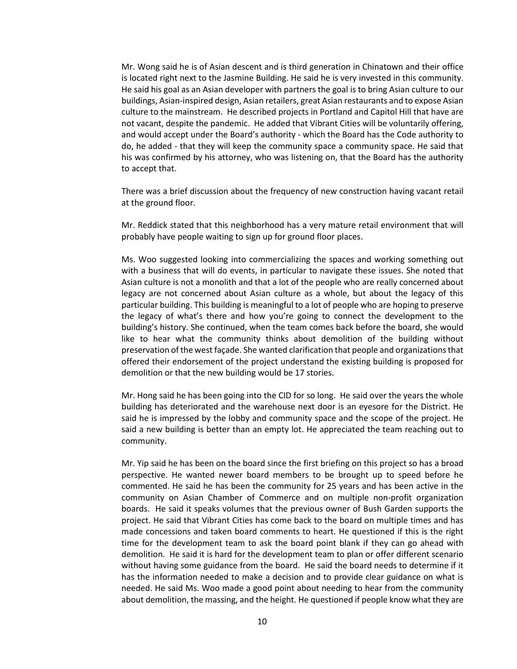Mr. Wong said he is of Asian descent and is third generation in Chinatown and their office is located right next to the Jasmine Building. He said he is very invested in this community. He said his goal as an Asian developer with partners the goal is to bring Asian culture to our buildings, Asian-inspired design, Asian retailers, great Asian restaurants and to expose Asian culture to the mainstream. He described projects in Portland and Capitol Hill that have are not vacant, despite the pandemic. He added that Vibrant Cities will be voluntarily offering, and would accept under the Board's authority - which the Board has the Code authority to do, he added - that they will keep the community space a community space. He said that his was confirmed by his attorney, who was listening on, that the Board has the authority to accept that.

There was a brief discussion about the frequency of new construction having vacant retail at the ground floor.

Mr. Reddick stated that this neighborhood has a very mature retail environment that will probably have people waiting to sign up for ground floor places.

Ms. Woo suggested looking into commercializing the spaces and working something out with a business that will do events, in particular to navigate these issues. She noted that Asian culture is not a monolith and that a lot of the people who are really concerned about legacy are not concerned about Asian culture as a whole, but about the legacy of this particular building. This building is meaningful to a lot of people who are hoping to preserve the legacy of what's there and how you're going to connect the development to the building's history. She continued, when the team comes back before the board, she would like to hear what the community thinks about demolition of the building without preservation of the west façade. She wanted clarification that people and organizations that offered their endorsement of the project understand the existing building is proposed for demolition or that the new building would be 17 stories.

Mr. Hong said he has been going into the CID for so long. He said over the years the whole building has deteriorated and the warehouse next door is an eyesore for the District. He said he is impressed by the lobby and community space and the scope of the project. He said a new building is better than an empty lot. He appreciated the team reaching out to community.

Mr. Yip said he has been on the board since the first briefing on this project so has a broad perspective. He wanted newer board members to be brought up to speed before he commented. He said he has been the community for 25 years and has been active in the community on Asian Chamber of Commerce and on multiple non-profit organization boards. He said it speaks volumes that the previous owner of Bush Garden supports the project. He said that Vibrant Cities has come back to the board on multiple times and has made concessions and taken board comments to heart. He questioned if this is the right time for the development team to ask the board point blank if they can go ahead with demolition. He said it is hard for the development team to plan or offer different scenario without having some guidance from the board. He said the board needs to determine if it has the information needed to make a decision and to provide clear guidance on what is needed. He said Ms. Woo made a good point about needing to hear from the community about demolition, the massing, and the height. He questioned if people know what they are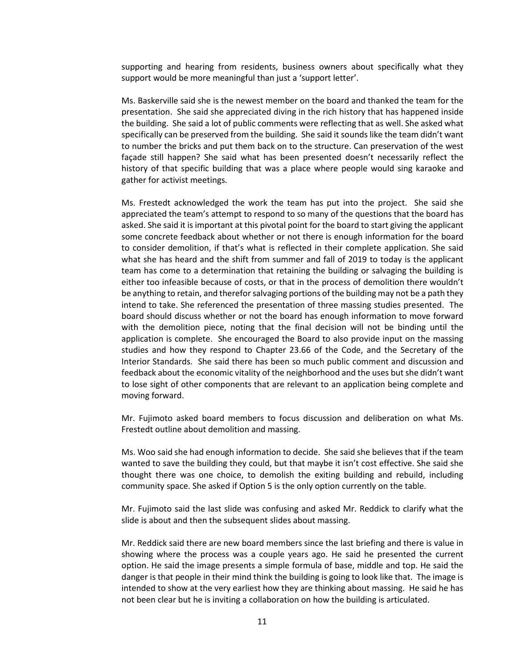supporting and hearing from residents, business owners about specifically what they support would be more meaningful than just a 'support letter'.

Ms. Baskerville said she is the newest member on the board and thanked the team for the presentation. She said she appreciated diving in the rich history that has happened inside the building. She said a lot of public comments were reflecting that as well. She asked what specifically can be preserved from the building. She said it sounds like the team didn't want to number the bricks and put them back on to the structure. Can preservation of the west façade still happen? She said what has been presented doesn't necessarily reflect the history of that specific building that was a place where people would sing karaoke and gather for activist meetings.

Ms. Frestedt acknowledged the work the team has put into the project. She said she appreciated the team's attempt to respond to so many of the questions that the board has asked. She said it is important at this pivotal point for the board to start giving the applicant some concrete feedback about whether or not there is enough information for the board to consider demolition, if that's what is reflected in their complete application. She said what she has heard and the shift from summer and fall of 2019 to today is the applicant team has come to a determination that retaining the building or salvaging the building is either too infeasible because of costs, or that in the process of demolition there wouldn't be anything to retain, and therefor salvaging portions of the building may not be a path they intend to take. She referenced the presentation of three massing studies presented. The board should discuss whether or not the board has enough information to move forward with the demolition piece, noting that the final decision will not be binding until the application is complete. She encouraged the Board to also provide input on the massing studies and how they respond to Chapter 23.66 of the Code, and the Secretary of the Interior Standards. She said there has been so much public comment and discussion and feedback about the economic vitality of the neighborhood and the uses but she didn't want to lose sight of other components that are relevant to an application being complete and moving forward.

Mr. Fujimoto asked board members to focus discussion and deliberation on what Ms. Frestedt outline about demolition and massing.

Ms. Woo said she had enough information to decide. She said she believes that if the team wanted to save the building they could, but that maybe it isn't cost effective. She said she thought there was one choice, to demolish the exiting building and rebuild, including community space. She asked if Option 5 is the only option currently on the table.

Mr. Fujimoto said the last slide was confusing and asked Mr. Reddick to clarify what the slide is about and then the subsequent slides about massing.

Mr. Reddick said there are new board members since the last briefing and there is value in showing where the process was a couple years ago. He said he presented the current option. He said the image presents a simple formula of base, middle and top. He said the danger is that people in their mind think the building is going to look like that. The image is intended to show at the very earliest how they are thinking about massing. He said he has not been clear but he is inviting a collaboration on how the building is articulated.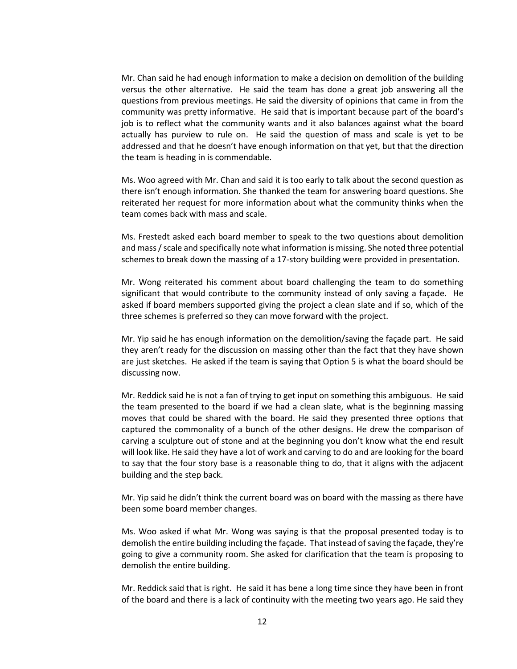Mr. Chan said he had enough information to make a decision on demolition of the building versus the other alternative. He said the team has done a great job answering all the questions from previous meetings. He said the diversity of opinions that came in from the community was pretty informative. He said that is important because part of the board's job is to reflect what the community wants and it also balances against what the board actually has purview to rule on. He said the question of mass and scale is yet to be addressed and that he doesn't have enough information on that yet, but that the direction the team is heading in is commendable.

Ms. Woo agreed with Mr. Chan and said it is too early to talk about the second question as there isn't enough information. She thanked the team for answering board questions. She reiterated her request for more information about what the community thinks when the team comes back with mass and scale.

Ms. Frestedt asked each board member to speak to the two questions about demolition and mass / scale and specifically note what information is missing. She noted three potential schemes to break down the massing of a 17-story building were provided in presentation.

Mr. Wong reiterated his comment about board challenging the team to do something significant that would contribute to the community instead of only saving a façade. He asked if board members supported giving the project a clean slate and if so, which of the three schemes is preferred so they can move forward with the project.

Mr. Yip said he has enough information on the demolition/saving the façade part. He said they aren't ready for the discussion on massing other than the fact that they have shown are just sketches. He asked if the team is saying that Option 5 is what the board should be discussing now.

Mr. Reddick said he is not a fan of trying to get input on something this ambiguous. He said the team presented to the board if we had a clean slate, what is the beginning massing moves that could be shared with the board. He said they presented three options that captured the commonality of a bunch of the other designs. He drew the comparison of carving a sculpture out of stone and at the beginning you don't know what the end result will look like. He said they have a lot of work and carving to do and are looking for the board to say that the four story base is a reasonable thing to do, that it aligns with the adjacent building and the step back.

Mr. Yip said he didn't think the current board was on board with the massing as there have been some board member changes.

Ms. Woo asked if what Mr. Wong was saying is that the proposal presented today is to demolish the entire building including the façade. That instead of saving the façade, they're going to give a community room. She asked for clarification that the team is proposing to demolish the entire building.

Mr. Reddick said that is right. He said it has bene a long time since they have been in front of the board and there is a lack of continuity with the meeting two years ago. He said they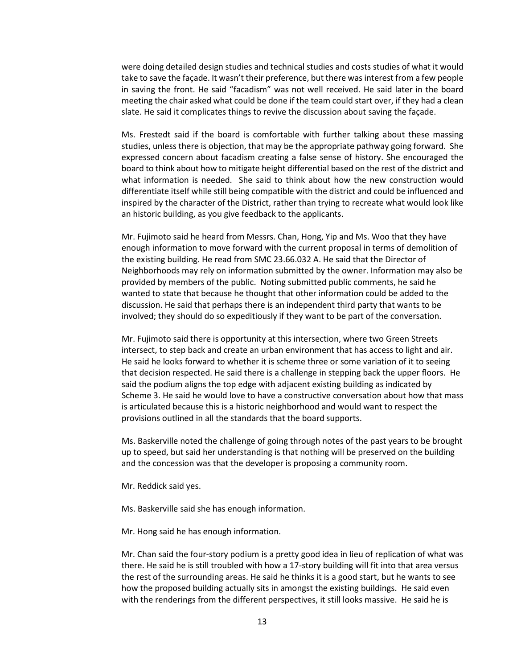were doing detailed design studies and technical studies and costs studies of what it would take to save the façade. It wasn't their preference, but there was interest from a few people in saving the front. He said "facadism" was not well received. He said later in the board meeting the chair asked what could be done if the team could start over, if they had a clean slate. He said it complicates things to revive the discussion about saving the façade.

Ms. Frestedt said if the board is comfortable with further talking about these massing studies, unless there is objection, that may be the appropriate pathway going forward. She expressed concern about facadism creating a false sense of history. She encouraged the board to think about how to mitigate height differential based on the rest of the district and what information is needed. She said to think about how the new construction would differentiate itself while still being compatible with the district and could be influenced and inspired by the character of the District, rather than trying to recreate what would look like an historic building, as you give feedback to the applicants.

Mr. Fujimoto said he heard from Messrs. Chan, Hong, Yip and Ms. Woo that they have enough information to move forward with the current proposal in terms of demolition of the existing building. He read from SMC 23.66.032 A. He said that the Director of Neighborhoods may rely on information submitted by the owner. Information may also be provided by members of the public. Noting submitted public comments, he said he wanted to state that because he thought that other information could be added to the discussion. He said that perhaps there is an independent third party that wants to be involved; they should do so expeditiously if they want to be part of the conversation.

Mr. Fujimoto said there is opportunity at this intersection, where two Green Streets intersect, to step back and create an urban environment that has access to light and air. He said he looks forward to whether it is scheme three or some variation of it to seeing that decision respected. He said there is a challenge in stepping back the upper floors. He said the podium aligns the top edge with adjacent existing building as indicated by Scheme 3. He said he would love to have a constructive conversation about how that mass is articulated because this is a historic neighborhood and would want to respect the provisions outlined in all the standards that the board supports.

Ms. Baskerville noted the challenge of going through notes of the past years to be brought up to speed, but said her understanding is that nothing will be preserved on the building and the concession was that the developer is proposing a community room.

Mr. Reddick said yes.

Ms. Baskerville said she has enough information.

Mr. Hong said he has enough information.

Mr. Chan said the four-story podium is a pretty good idea in lieu of replication of what was there. He said he is still troubled with how a 17-story building will fit into that area versus the rest of the surrounding areas. He said he thinks it is a good start, but he wants to see how the proposed building actually sits in amongst the existing buildings. He said even with the renderings from the different perspectives, it still looks massive. He said he is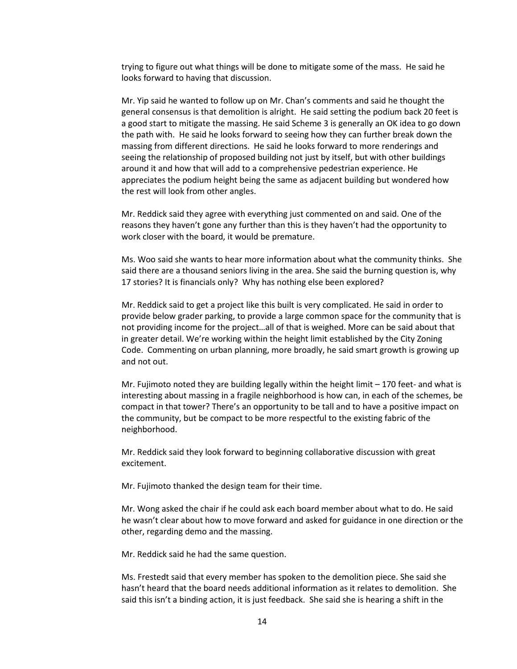trying to figure out what things will be done to mitigate some of the mass. He said he looks forward to having that discussion.

Mr. Yip said he wanted to follow up on Mr. Chan's comments and said he thought the general consensus is that demolition is alright. He said setting the podium back 20 feet is a good start to mitigate the massing. He said Scheme 3 is generally an OK idea to go down the path with. He said he looks forward to seeing how they can further break down the massing from different directions. He said he looks forward to more renderings and seeing the relationship of proposed building not just by itself, but with other buildings around it and how that will add to a comprehensive pedestrian experience. He appreciates the podium height being the same as adjacent building but wondered how the rest will look from other angles.

Mr. Reddick said they agree with everything just commented on and said. One of the reasons they haven't gone any further than this is they haven't had the opportunity to work closer with the board, it would be premature.

Ms. Woo said she wants to hear more information about what the community thinks. She said there are a thousand seniors living in the area. She said the burning question is, why 17 stories? It is financials only? Why has nothing else been explored?

Mr. Reddick said to get a project like this built is very complicated. He said in order to provide below grader parking, to provide a large common space for the community that is not providing income for the project…all of that is weighed. More can be said about that in greater detail. We're working within the height limit established by the City Zoning Code. Commenting on urban planning, more broadly, he said smart growth is growing up and not out.

Mr. Fujimoto noted they are building legally within the height limit – 170 feet- and what is interesting about massing in a fragile neighborhood is how can, in each of the schemes, be compact in that tower? There's an opportunity to be tall and to have a positive impact on the community, but be compact to be more respectful to the existing fabric of the neighborhood.

Mr. Reddick said they look forward to beginning collaborative discussion with great excitement.

Mr. Fujimoto thanked the design team for their time.

Mr. Wong asked the chair if he could ask each board member about what to do. He said he wasn't clear about how to move forward and asked for guidance in one direction or the other, regarding demo and the massing.

Mr. Reddick said he had the same question.

Ms. Frestedt said that every member has spoken to the demolition piece. She said she hasn't heard that the board needs additional information as it relates to demolition. She said this isn't a binding action, it is just feedback. She said she is hearing a shift in the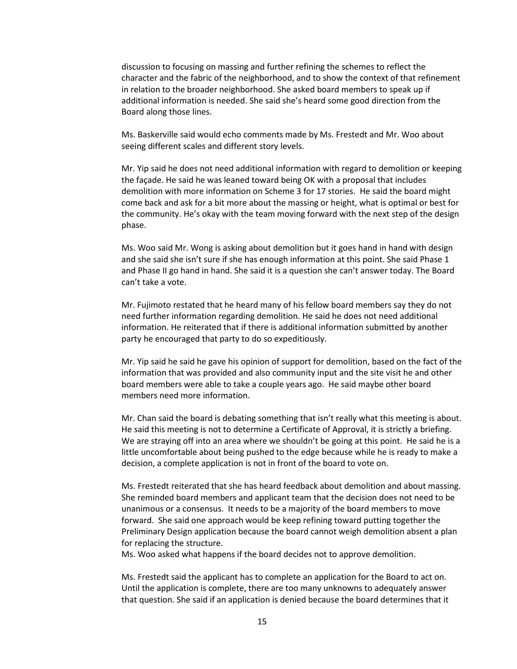discussion to focusing on massing and further refining the schemes to reflect the character and the fabric of the neighborhood, and to show the context of that refinement in relation to the broader neighborhood. She asked board members to speak up if additional information is needed. She said she's heard some good direction from the Board along those lines.

Ms. Baskerville said would echo comments made by Ms. Frestedt and Mr. Woo about seeing different scales and different story levels.

Mr. Yip said he does not need additional information with regard to demolition or keeping the façade. He said he was leaned toward being OK with a proposal that includes demolition with more information on Scheme 3 for 17 stories. He said the board might come back and ask for a bit more about the massing or height, what is optimal or best for the community. He's okay with the team moving forward with the next step of the design phase.

Ms. Woo said Mr. Wong is asking about demolition but it goes hand in hand with design and she said she isn't sure if she has enough information at this point. She said Phase 1 and Phase II go hand in hand. She said it is a question she can't answer today. The Board can't take a vote.

Mr. Fujimoto restated that he heard many of his fellow board members say they do not need further information regarding demolition. He said he does not need additional information. He reiterated that if there is additional information submitted by another party he encouraged that party to do so expeditiously.

Mr. Yip said he said he gave his opinion of support for demolition, based on the fact of the information that was provided and also community input and the site visit he and other board members were able to take a couple years ago. He said maybe other board members need more information.

Mr. Chan said the board is debating something that isn't really what this meeting is about. He said this meeting is not to determine a Certificate of Approval, it is strictly a briefing. We are straying off into an area where we shouldn't be going at this point. He said he is a little uncomfortable about being pushed to the edge because while he is ready to make a decision, a complete application is not in front of the board to vote on.

Ms. Frestedt reiterated that she has heard feedback about demolition and about massing. She reminded board members and applicant team that the decision does not need to be unanimous or a consensus. It needs to be a majority of the board members to move forward. She said one approach would be keep refining toward putting together the Preliminary Design application because the board cannot weigh demolition absent a plan for replacing the structure.

Ms. Woo asked what happens if the board decides not to approve demolition.

Ms. Frestedt said the applicant has to complete an application for the Board to act on. Until the application is complete, there are too many unknowns to adequately answer that question. She said if an application is denied because the board determines that it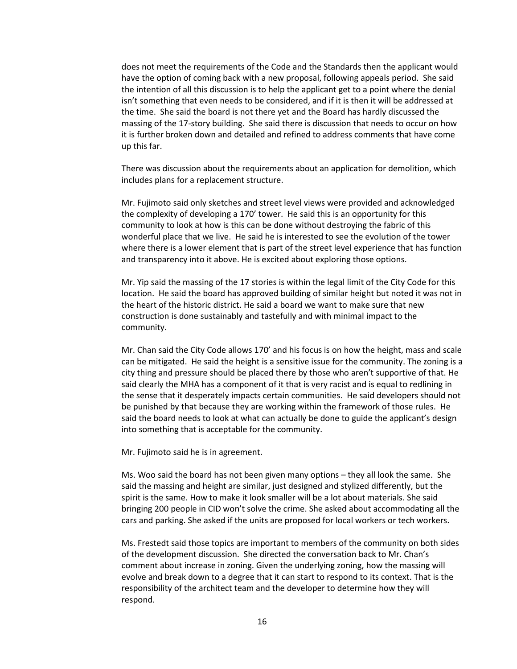does not meet the requirements of the Code and the Standards then the applicant would have the option of coming back with a new proposal, following appeals period. She said the intention of all this discussion is to help the applicant get to a point where the denial isn't something that even needs to be considered, and if it is then it will be addressed at the time. She said the board is not there yet and the Board has hardly discussed the massing of the 17-story building. She said there is discussion that needs to occur on how it is further broken down and detailed and refined to address comments that have come up this far.

There was discussion about the requirements about an application for demolition, which includes plans for a replacement structure.

Mr. Fujimoto said only sketches and street level views were provided and acknowledged the complexity of developing a 170' tower. He said this is an opportunity for this community to look at how is this can be done without destroying the fabric of this wonderful place that we live. He said he is interested to see the evolution of the tower where there is a lower element that is part of the street level experience that has function and transparency into it above. He is excited about exploring those options.

Mr. Yip said the massing of the 17 stories is within the legal limit of the City Code for this location. He said the board has approved building of similar height but noted it was not in the heart of the historic district. He said a board we want to make sure that new construction is done sustainably and tastefully and with minimal impact to the community.

Mr. Chan said the City Code allows 170' and his focus is on how the height, mass and scale can be mitigated. He said the height is a sensitive issue for the community. The zoning is a city thing and pressure should be placed there by those who aren't supportive of that. He said clearly the MHA has a component of it that is very racist and is equal to redlining in the sense that it desperately impacts certain communities. He said developers should not be punished by that because they are working within the framework of those rules. He said the board needs to look at what can actually be done to guide the applicant's design into something that is acceptable for the community.

Mr. Fujimoto said he is in agreement.

Ms. Woo said the board has not been given many options – they all look the same. She said the massing and height are similar, just designed and stylized differently, but the spirit is the same. How to make it look smaller will be a lot about materials. She said bringing 200 people in CID won't solve the crime. She asked about accommodating all the cars and parking. She asked if the units are proposed for local workers or tech workers.

Ms. Frestedt said those topics are important to members of the community on both sides of the development discussion. She directed the conversation back to Mr. Chan's comment about increase in zoning. Given the underlying zoning, how the massing will evolve and break down to a degree that it can start to respond to its context. That is the responsibility of the architect team and the developer to determine how they will respond.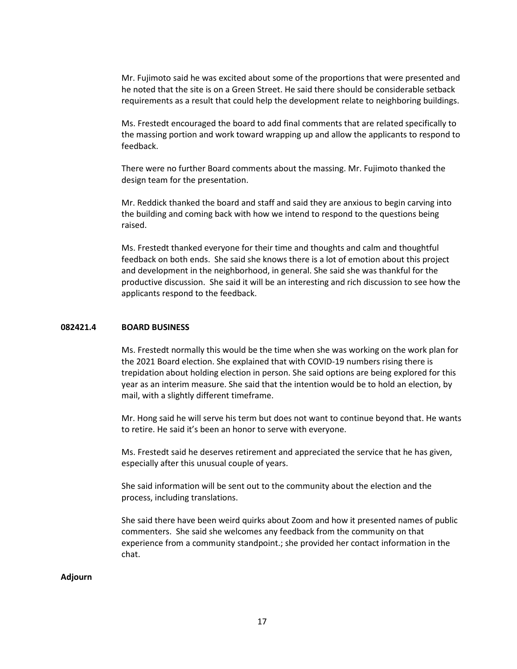Mr. Fujimoto said he was excited about some of the proportions that were presented and he noted that the site is on a Green Street. He said there should be considerable setback requirements as a result that could help the development relate to neighboring buildings.

Ms. Frestedt encouraged the board to add final comments that are related specifically to the massing portion and work toward wrapping up and allow the applicants to respond to feedback.

There were no further Board comments about the massing. Mr. Fujimoto thanked the design team for the presentation.

Mr. Reddick thanked the board and staff and said they are anxious to begin carving into the building and coming back with how we intend to respond to the questions being raised.

Ms. Frestedt thanked everyone for their time and thoughts and calm and thoughtful feedback on both ends. She said she knows there is a lot of emotion about this project and development in the neighborhood, in general. She said she was thankful for the productive discussion. She said it will be an interesting and rich discussion to see how the applicants respond to the feedback.

#### **082421.4 BOARD BUSINESS**

Ms. Frestedt normally this would be the time when she was working on the work plan for the 2021 Board election. She explained that with COVID-19 numbers rising there is trepidation about holding election in person. She said options are being explored for this year as an interim measure. She said that the intention would be to hold an election, by mail, with a slightly different timeframe.

Mr. Hong said he will serve his term but does not want to continue beyond that. He wants to retire. He said it's been an honor to serve with everyone.

Ms. Frestedt said he deserves retirement and appreciated the service that he has given, especially after this unusual couple of years.

She said information will be sent out to the community about the election and the process, including translations.

She said there have been weird quirks about Zoom and how it presented names of public commenters. She said she welcomes any feedback from the community on that experience from a community standpoint.; she provided her contact information in the chat.

#### **Adjourn**